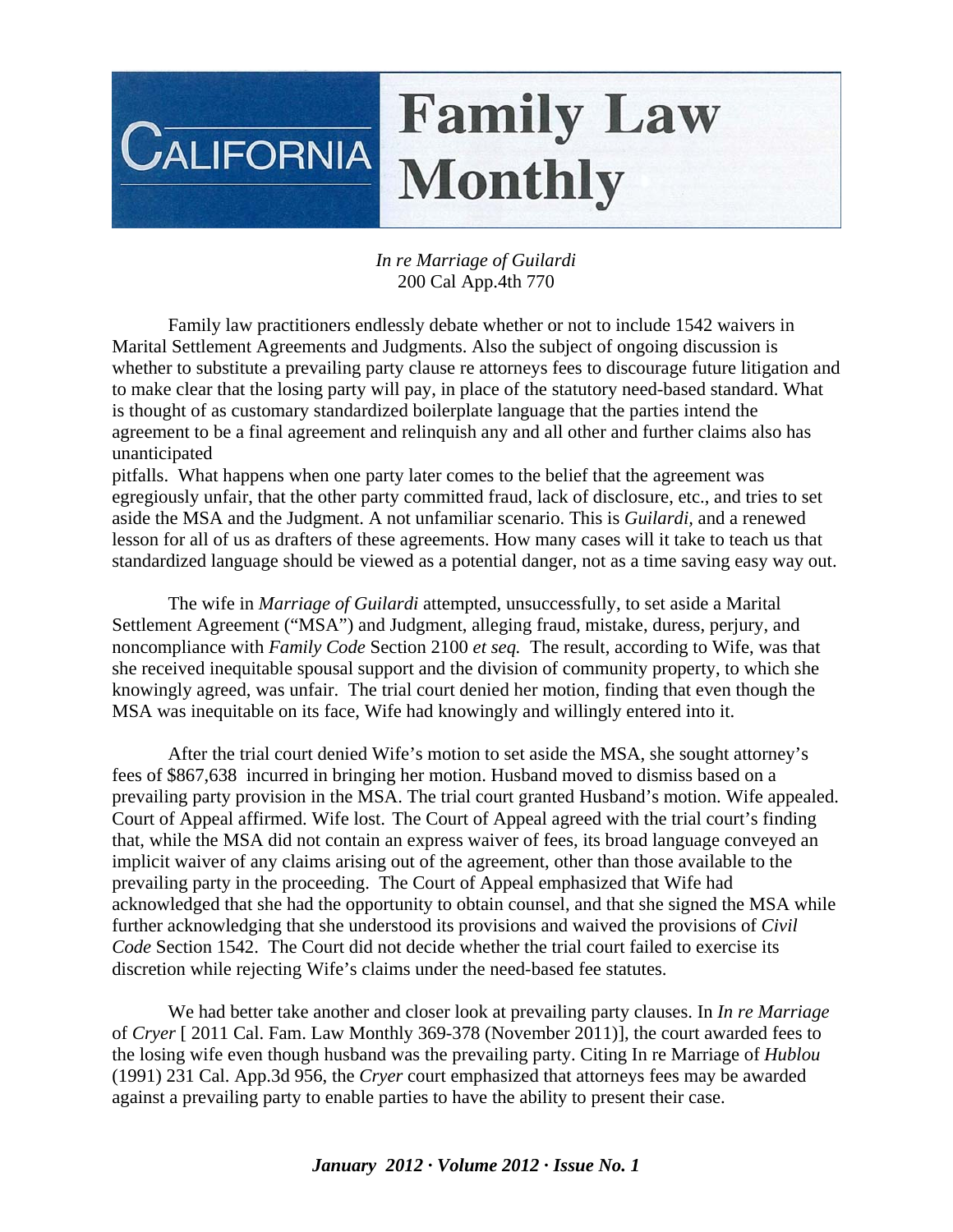## **Family Law**  $C$ ALIFORNIA **Monthly**

## *In re Marriage of Guilardi* 200 Cal App.4th 770

 Family law practitioners endlessly debate whether or not to include 1542 waivers in Marital Settlement Agreements and Judgments. Also the subject of ongoing discussion is whether to substitute a prevailing party clause re attorneys fees to discourage future litigation and to make clear that the losing party will pay, in place of the statutory need-based standard. What is thought of as customary standardized boilerplate language that the parties intend the agreement to be a final agreement and relinquish any and all other and further claims also has unanticipated

pitfalls. What happens when one party later comes to the belief that the agreement was egregiously unfair, that the other party committed fraud, lack of disclosure, etc., and tries to set aside the MSA and the Judgment. A not unfamiliar scenario. This is *Guilardi,* and a renewed lesson for all of us as drafters of these agreements. How many cases will it take to teach us that standardized language should be viewed as a potential danger, not as a time saving easy way out.

 The wife in *Marriage of Guilardi* attempted, unsuccessfully, to set aside a Marital Settlement Agreement ("MSA") and Judgment, alleging fraud, mistake, duress, perjury, and noncompliance with *Family Code* Section 2100 *et seq.* The result, according to Wife, was that she received inequitable spousal support and the division of community property, to which she knowingly agreed, was unfair. The trial court denied her motion, finding that even though the MSA was inequitable on its face, Wife had knowingly and willingly entered into it.

 After the trial court denied Wife's motion to set aside the MSA, she sought attorney's fees of \$867,638 incurred in bringing her motion. Husband moved to dismiss based on a prevailing party provision in the MSA. The trial court granted Husband's motion. Wife appealed. Court of Appeal affirmed. Wife lost. The Court of Appeal agreed with the trial court's finding that, while the MSA did not contain an express waiver of fees, its broad language conveyed an implicit waiver of any claims arising out of the agreement, other than those available to the prevailing party in the proceeding. The Court of Appeal emphasized that Wife had acknowledged that she had the opportunity to obtain counsel, and that she signed the MSA while further acknowledging that she understood its provisions and waived the provisions of *Civil Code* Section 1542. The Court did not decide whether the trial court failed to exercise its discretion while rejecting Wife's claims under the need-based fee statutes.

 We had better take another and closer look at prevailing party clauses. In *In re Marriage*  of *Cryer* [ 2011 Cal. Fam. Law Monthly 369-378 (November 2011)], the court awarded fees to the losing wife even though husband was the prevailing party. Citing In re Marriage of *Hublou* (1991) 231 Cal. App.3d 956, the *Cryer* court emphasized that attorneys fees may be awarded against a prevailing party to enable parties to have the ability to present their case.